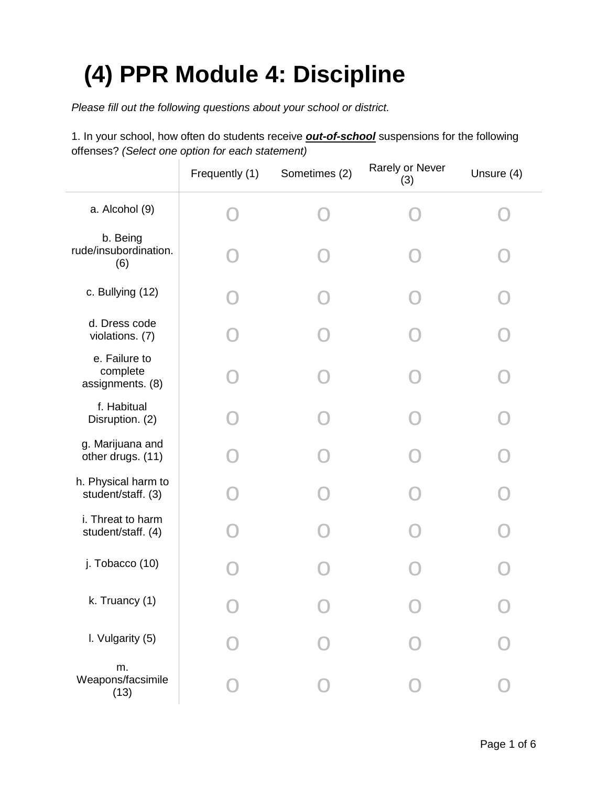## **(4) PPR Module 4: Discipline**

*Please fill out the following questions about your school or district.*

1. In your school, how often do students receive *out-of-school* suspensions for the following offenses? *(Select one option for each statement)*

|                                               | Frequently (1) | Sometimes (2) | Rarely or Never<br>(3) | Unsure (4) |
|-----------------------------------------------|----------------|---------------|------------------------|------------|
| a. Alcohol (9)                                |                |               |                        |            |
| b. Being<br>rude/insubordination.<br>(6)      |                |               |                        |            |
| c. Bullying (12)                              |                |               |                        |            |
| d. Dress code<br>violations. (7)              |                |               |                        |            |
| e. Failure to<br>complete<br>assignments. (8) |                |               |                        |            |
| f. Habitual<br>Disruption. (2)                |                |               |                        |            |
| g. Marijuana and<br>other drugs. (11)         |                |               |                        |            |
| h. Physical harm to<br>student/staff. (3)     |                |               |                        |            |
| i. Threat to harm<br>student/staff. (4)       |                |               |                        |            |
| j. Tobacco (10)                               |                |               |                        |            |
| k. Truancy (1)                                |                |               |                        |            |
| I. Vulgarity (5)                              |                |               |                        |            |
| m.<br>Weapons/facsimile<br>(13)               |                |               |                        |            |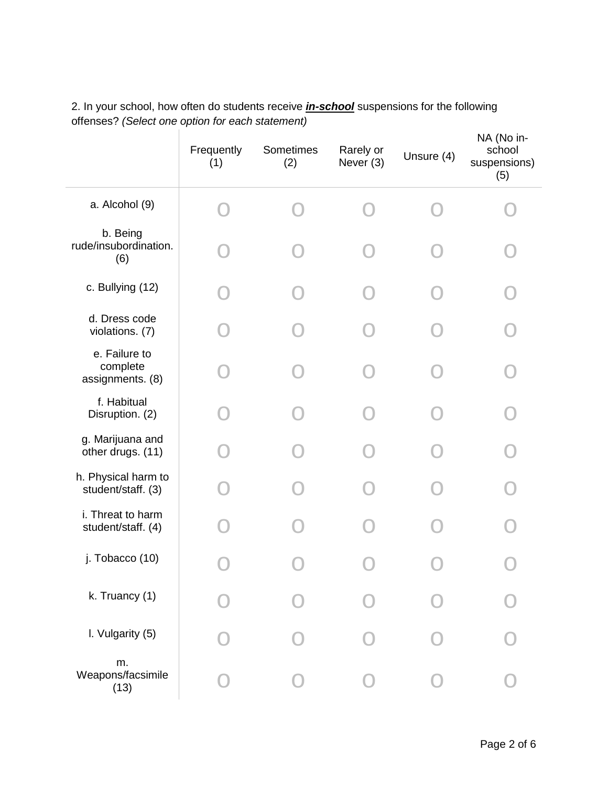|                                               | Frequently<br>(1) | Sometimes<br>(2) | Rarely or<br>Never (3) | Unsure (4) | NA (No in-<br>school<br>suspensions)<br>(5) |
|-----------------------------------------------|-------------------|------------------|------------------------|------------|---------------------------------------------|
| a. Alcohol (9)                                |                   |                  |                        |            |                                             |
| b. Being<br>rude/insubordination.<br>(6)      |                   |                  |                        |            |                                             |
| c. Bullying (12)                              |                   |                  |                        |            |                                             |
| d. Dress code<br>violations. (7)              |                   |                  |                        |            |                                             |
| e. Failure to<br>complete<br>assignments. (8) |                   |                  |                        |            |                                             |
| f. Habitual<br>Disruption. (2)                |                   |                  |                        |            |                                             |
| g. Marijuana and<br>other drugs. (11)         |                   |                  |                        |            |                                             |
| h. Physical harm to<br>student/staff. (3)     |                   |                  |                        |            |                                             |
| i. Threat to harm<br>student/staff. (4)       |                   |                  |                        |            |                                             |
| j. Tobacco (10)                               |                   |                  |                        |            |                                             |
| k. Truancy (1)                                |                   |                  |                        |            |                                             |
| I. Vulgarity (5)                              |                   |                  |                        |            |                                             |
| m.<br>Weapons/facsimile<br>(13)               |                   |                  |                        |            |                                             |

2. In your school, how often do students receive *in-school* suspensions for the following offenses? *(Select one option for each statement)*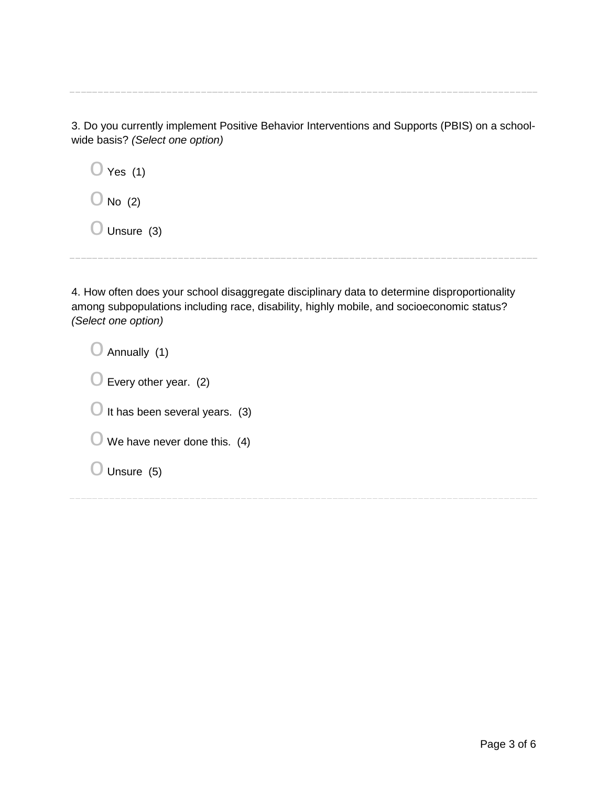3. Do you currently implement Positive Behavior Interventions and Supports (PBIS) on a schoolwide basis? *(Select one option)*

| $\bigcirc$ Yes (1)    |  |  |  |
|-----------------------|--|--|--|
| $\bigcirc$ No (2)     |  |  |  |
| $\bigcirc$ Unsure (3) |  |  |  |

4. How often does your school disaggregate disciplinary data to determine disproportionality among subpopulations including race, disability, highly mobile, and socioeconomic status? *(Select one option)*

| $\bigcirc$ Annually (1)                  |
|------------------------------------------|
| $\bigcirc$ Every other year. (2)         |
| $\bigcup$ It has been several years. (3) |
| $\cup$ We have never done this. (4)      |
| $\bigcirc$ Unsure (5)                    |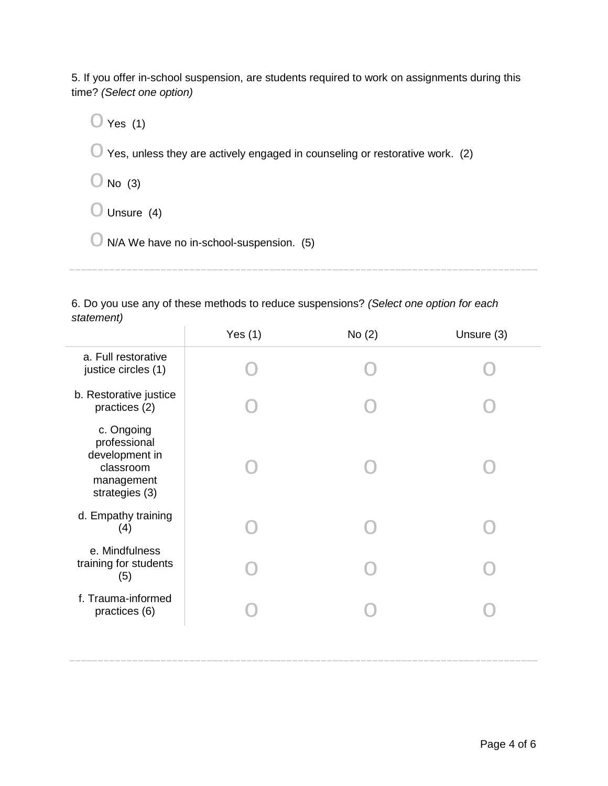5. If you offer in-school suspension, are students required to work on assignments during this time? *(Select one option)*

 $\bigcirc$  Yes (1)

 $\bigcirc$  Yes, unless they are actively engaged in counseling or restorative work. (2)

 $\bigcirc$  No (3)

 $\bigcirc$  Unsure (4)

 $\bigcirc$  N/A We have no in-school-suspension. (5)

6. Do you use any of these methods to reduce suspensions? *(Select one option for each statement)*

|                                                                                           | Yes $(1)$ | No(2) | Unsure (3) |
|-------------------------------------------------------------------------------------------|-----------|-------|------------|
| a. Full restorative<br>justice circles (1)                                                |           |       |            |
| b. Restorative justice<br>practices (2)                                                   |           |       |            |
| c. Ongoing<br>professional<br>development in<br>classroom<br>management<br>strategies (3) |           |       |            |
| d. Empathy training<br>(4)                                                                |           |       |            |
| e. Mindfulness<br>training for students<br>(5)                                            |           |       |            |
| f. Trauma-informed<br>practices (6)                                                       |           |       |            |
|                                                                                           |           |       |            |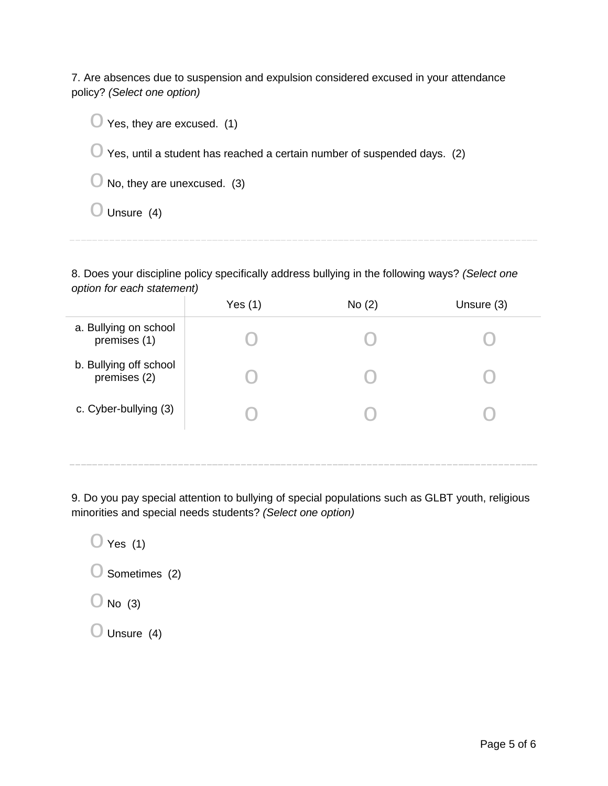7. Are absences due to suspension and expulsion considered excused in your attendance policy? *(Select one option)*

| $\bigcirc$ Yes, they are excused. (1)                                               |
|-------------------------------------------------------------------------------------|
| $\bigcirc$ Yes, until a student has reached a certain number of suspended days. (2) |
| $\bigcirc$ No, they are unexcused. (3)                                              |
| $\bigcup$ Unsure (4)                                                                |

8. Does your discipline policy specifically address bullying in the following ways? *(Select one option for each statement)*

|                                        | Yes $(1)$ | No(2) | Unsure (3) |
|----------------------------------------|-----------|-------|------------|
| a. Bullying on school<br>premises (1)  |           |       |            |
| b. Bullying off school<br>premises (2) |           |       |            |
| c. Cyber-bullying (3)                  |           |       |            |
|                                        |           |       |            |

9. Do you pay special attention to bullying of special populations such as GLBT youth, religious minorities and special needs students? *(Select one option)*

 $\bigcirc$  Yes (1)

 $\bigcirc$  Sometimes (2)

 $\bigcirc$  No (3)

 $\bigcirc$  Unsure (4)